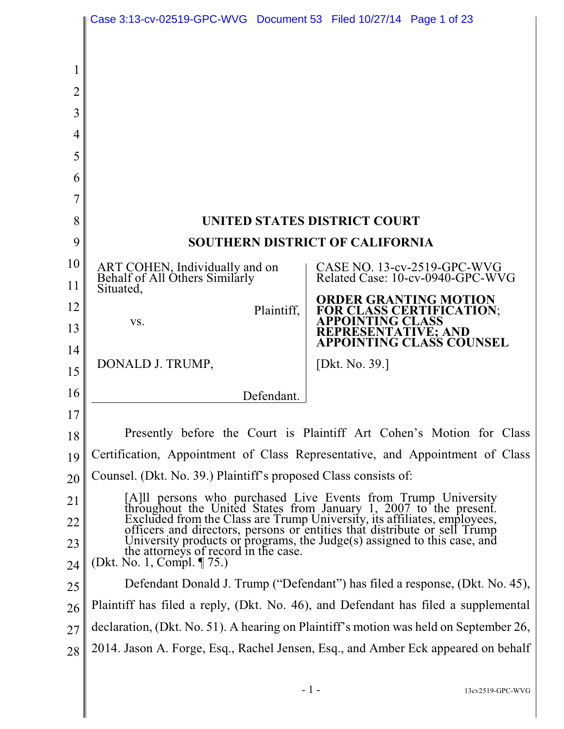|                | Case 3:13-cv-02519-GPC-WVG Document 53 Filed 10/27/14 Page 1 of 23                                                                                                                                                                                                                                                                                                                                               |                                                                              |
|----------------|------------------------------------------------------------------------------------------------------------------------------------------------------------------------------------------------------------------------------------------------------------------------------------------------------------------------------------------------------------------------------------------------------------------|------------------------------------------------------------------------------|
|                |                                                                                                                                                                                                                                                                                                                                                                                                                  |                                                                              |
|                |                                                                                                                                                                                                                                                                                                                                                                                                                  |                                                                              |
| $\overline{2}$ |                                                                                                                                                                                                                                                                                                                                                                                                                  |                                                                              |
| 3              |                                                                                                                                                                                                                                                                                                                                                                                                                  |                                                                              |
| 4              |                                                                                                                                                                                                                                                                                                                                                                                                                  |                                                                              |
| 5              |                                                                                                                                                                                                                                                                                                                                                                                                                  |                                                                              |
| 6              |                                                                                                                                                                                                                                                                                                                                                                                                                  |                                                                              |
| 7              |                                                                                                                                                                                                                                                                                                                                                                                                                  |                                                                              |
| 8              | <b>UNITED STATES DISTRICT COURT</b>                                                                                                                                                                                                                                                                                                                                                                              |                                                                              |
| 9              | <b>SOUTHERN DISTRICT OF CALIFORNIA</b>                                                                                                                                                                                                                                                                                                                                                                           |                                                                              |
| 10             | ART COHEN, Individually and on<br>Behalf of All Others Similarly                                                                                                                                                                                                                                                                                                                                                 | CASE NO. $13$ -cv-2519-GPC-WVG<br>Related Case: 10-cv-0940-GPC-WVG           |
| 11             | Situated,                                                                                                                                                                                                                                                                                                                                                                                                        |                                                                              |
| 12             | Plaintiff,                                                                                                                                                                                                                                                                                                                                                                                                       | <b>ORDER GRANTING MOTION</b><br>FOR CLASS CERTIFICATION;<br>APPOINTING CLASS |
| 13<br>14       | VS.                                                                                                                                                                                                                                                                                                                                                                                                              | REPRESENTATIVE; AND<br>APPOINTING CLASS COUNSEL                              |
| 15             | DONALD J. TRUMP,                                                                                                                                                                                                                                                                                                                                                                                                 | [Dkt. No. 39.]                                                               |
| 16             |                                                                                                                                                                                                                                                                                                                                                                                                                  |                                                                              |
| 17             | Defendant.                                                                                                                                                                                                                                                                                                                                                                                                       |                                                                              |
| 18             | Presently before the Court is Plaintiff Art Cohen's Motion for Class                                                                                                                                                                                                                                                                                                                                             |                                                                              |
| 19             | Certification, Appointment of Class Representative, and Appointment of Class                                                                                                                                                                                                                                                                                                                                     |                                                                              |
| 20             | Counsel. (Dkt. No. 39.) Plaintiff's proposed Class consists of:                                                                                                                                                                                                                                                                                                                                                  |                                                                              |
| 21             | [A] persons who purchased Live Events from Trump University<br>throughout the United States from January 1, 2007 to the present.<br>Excluded from the Class are Trump University, its affiliates, employees,<br>officers and directors, persons or entities that distribute or sell Trump<br>University products or programs, the Judge $(s)$ assigned to this case, and<br>the attorneys of record in the case. |                                                                              |
| 22             |                                                                                                                                                                                                                                                                                                                                                                                                                  |                                                                              |
| 23             |                                                                                                                                                                                                                                                                                                                                                                                                                  |                                                                              |
| 24             | (Dkt. No. 1, Compl. ¶ 75.)                                                                                                                                                                                                                                                                                                                                                                                       |                                                                              |
| 25             | Defendant Donald J. Trump ("Defendant") has filed a response, (Dkt. No. 45),                                                                                                                                                                                                                                                                                                                                     |                                                                              |
| 26             | Plaintiff has filed a reply, (Dkt. No. 46), and Defendant has filed a supplemental                                                                                                                                                                                                                                                                                                                               |                                                                              |
| 27             | declaration, (Dkt. No. 51). A hearing on Plaintiff's motion was held on September 26,                                                                                                                                                                                                                                                                                                                            |                                                                              |
| 28             | 2014. Jason A. Forge, Esq., Rachel Jensen, Esq., and Amber Eck appeared on behalf                                                                                                                                                                                                                                                                                                                                |                                                                              |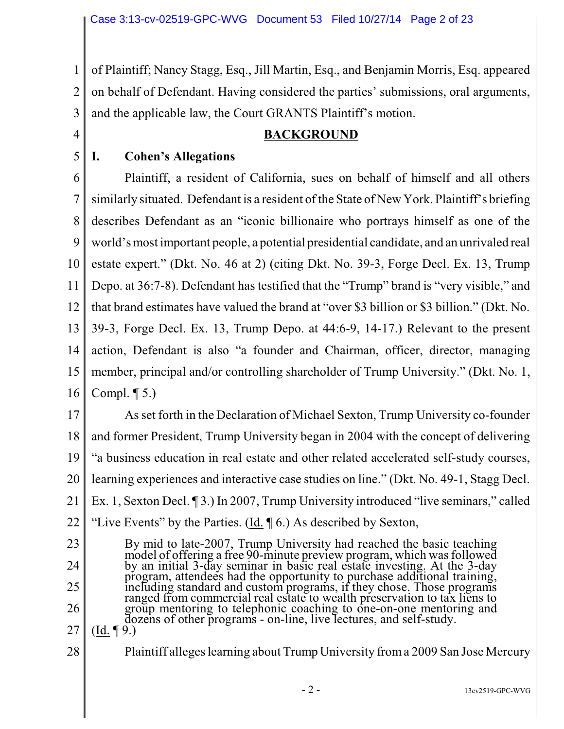1 2 3 of Plaintiff; Nancy Stagg, Esq., Jill Martin, Esq., and Benjamin Morris, Esq. appeared on behalf of Defendant. Having considered the parties' submissions, oral arguments, and the applicable law, the Court GRANTS Plaintiff's motion.

4

5

## **BACKGROUND**

#### **I. Cohen's Allegations**

6 7 8 9 10 11 12 13 14 15 16 Plaintiff, a resident of California, sues on behalf of himself and all others similarly situated. Defendant is a resident of the State of New York. Plaintiff's briefing describes Defendant as an "iconic billionaire who portrays himself as one of the world's most important people, a potential presidential candidate, and an unrivaled real estate expert." (Dkt. No. 46 at 2) (citing Dkt. No. 39-3, Forge Decl. Ex. 13, Trump Depo. at 36:7-8). Defendant has testified that the "Trump" brand is "very visible," and that brand estimates have valued the brand at "over \$3 billion or \$3 billion." (Dkt. No. 39-3, Forge Decl. Ex. 13, Trump Depo. at 44:6-9, 14-17.) Relevant to the present action, Defendant is also "a founder and Chairman, officer, director, managing member, principal and/or controlling shareholder of Trump University." (Dkt. No. 1, Compl.  $\P$  5.)

17 18 19 20 21 22 As set forth in the Declaration of Michael Sexton, Trump University co-founder and former President, Trump University began in 2004 with the concept of delivering "a business education in real estate and other related accelerated self-study courses, learning experiences and interactive case studies on line." (Dkt. No. 49-1, Stagg Decl. Ex. 1, Sexton Decl. ¶ 3.) In 2007, Trump University introduced "live seminars," called "Live Events" by the Parties. (Id. ¶ 6.) As described by Sexton,

23 24 25 26 27 By mid to late-2007, Trump University had reached the basic teaching model of offering a free 90-minute preview program, which was followed by an initial 3-day seminar in basic real estate investing. At the 3-day program, attendees had the opportunity to purchase additional training, including standard and custom programs, if they chose. Those programs ranged from commercial real estate to wealth preservation to tax liens to group mentoring to telephonic coaching to one-on-one mentoring and dozens of other programs - on-line, live lectures, and self-study.  $(Id. \P 9.)$ 

28

Plaintiff alleges learning about Trump University froma 2009 San Jose Mercury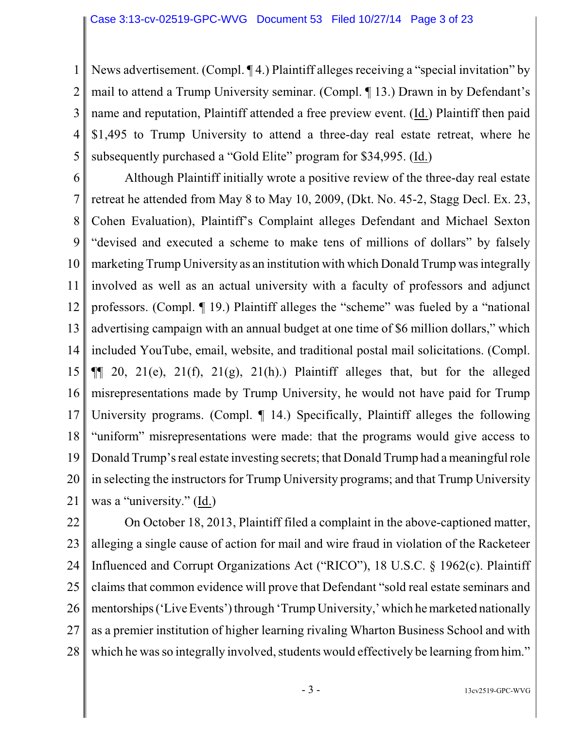1 2 3 4 5 News advertisement. (Compl. ¶ 4.) Plaintiff alleges receiving a "special invitation" by mail to attend a Trump University seminar. (Compl. ¶ 13.) Drawn in by Defendant's name and reputation, Plaintiff attended a free preview event. (Id.) Plaintiff then paid \$1,495 to Trump University to attend a three-day real estate retreat, where he subsequently purchased a "Gold Elite" program for \$34,995. (Id.)

6 7 8 9 10 11 12 13 14 15 16 17 18 19 20 21 Although Plaintiff initially wrote a positive review of the three-day real estate retreat he attended from May 8 to May 10, 2009, (Dkt. No. 45-2, Stagg Decl. Ex. 23, Cohen Evaluation), Plaintiff's Complaint alleges Defendant and Michael Sexton "devised and executed a scheme to make tens of millions of dollars" by falsely marketing Trump University as an institution with which Donald Trump was integrally involved as well as an actual university with a faculty of professors and adjunct professors. (Compl. ¶ 19.) Plaintiff alleges the "scheme" was fueled by a "national advertising campaign with an annual budget at one time of \$6 million dollars," which included YouTube, email, website, and traditional postal mail solicitations. (Compl.  $\P$ [ 20, 21(e), 21(f), 21(g), 21(h).) Plaintiff alleges that, but for the alleged misrepresentations made by Trump University, he would not have paid for Trump University programs. (Compl. ¶ 14.) Specifically, Plaintiff alleges the following "uniform" misrepresentations were made: that the programs would give access to Donald Trump's real estate investing secrets; that Donald Trump had a meaningfulrole in selecting the instructors for Trump University programs; and that Trump University was a "university." (Id.)

22 23 24 25 26 27 28 On October 18, 2013, Plaintiff filed a complaint in the above-captioned matter, alleging a single cause of action for mail and wire fraud in violation of the Racketeer Influenced and Corrupt Organizations Act ("RICO"), 18 U.S.C. § 1962(c). Plaintiff claims that common evidence will prove that Defendant "sold real estate seminars and mentorships ('Live Events') through 'Trump University,' which he marketed nationally as a premier institution of higher learning rivaling Wharton Business School and with which he was so integrally involved, students would effectively be learning from him."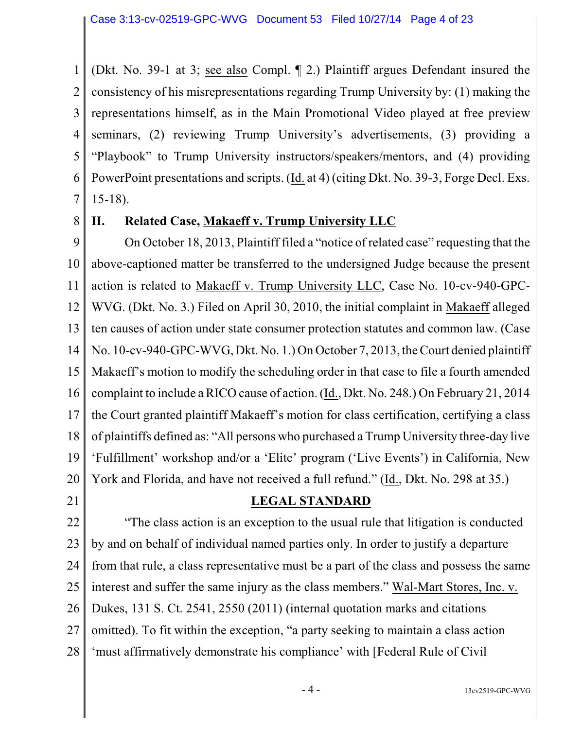1 2 3 4 5 6 7 (Dkt. No. 39-1 at 3; see also Compl. ¶ 2.) Plaintiff argues Defendant insured the consistency of his misrepresentations regarding Trump University by: (1) making the representations himself, as in the Main Promotional Video played at free preview seminars, (2) reviewing Trump University's advertisements, (3) providing a "Playbook" to Trump University instructors/speakers/mentors, and (4) providing PowerPoint presentations and scripts. (Id. at 4) (citing Dkt. No. 39-3, Forge Decl. Exs. 15-18).

8

### **II. Related Case, Makaeff v. Trump University LLC**

9 10 11 12 13 14 15 16 17 18 19 20 On October 18, 2013, Plaintiff filed a "notice of related case" requesting that the above-captioned matter be transferred to the undersigned Judge because the present action is related to Makaeff v. Trump University LLC, Case No. 10-cv-940-GPC-WVG. (Dkt. No. 3.) Filed on April 30, 2010, the initial complaint in Makaeff alleged ten causes of action under state consumer protection statutes and common law. (Case No. 10-cv-940-GPC-WVG, Dkt. No. 1.) On October 7, 2013, the Court denied plaintiff Makaeff's motion to modify the scheduling order in that case to file a fourth amended complaint to include a RICO cause of action. (Id., Dkt. No. 248.) On February 21, 2014 the Court granted plaintiff Makaeff's motion for class certification, certifying a class of plaintiffs defined as: "All persons who purchased a Trump University three-day live 'Fulfillment' workshop and/or a 'Elite' program ('Live Events') in California, New York and Florida, and have not received a full refund." (Id., Dkt. No. 298 at 35.)

21

#### **LEGAL STANDARD**

22 23 24 25 26 27 28 "The class action is an exception to the usual rule that litigation is conducted by and on behalf of individual named parties only. In order to justify a departure from that rule, a class representative must be a part of the class and possess the same interest and suffer the same injury as the class members." Wal-Mart Stores, Inc. v. Dukes, 131 S. Ct. 2541, 2550 (2011) (internal quotation marks and citations omitted). To fit within the exception, "a party seeking to maintain a class action 'must affirmatively demonstrate his compliance' with [Federal Rule of Civil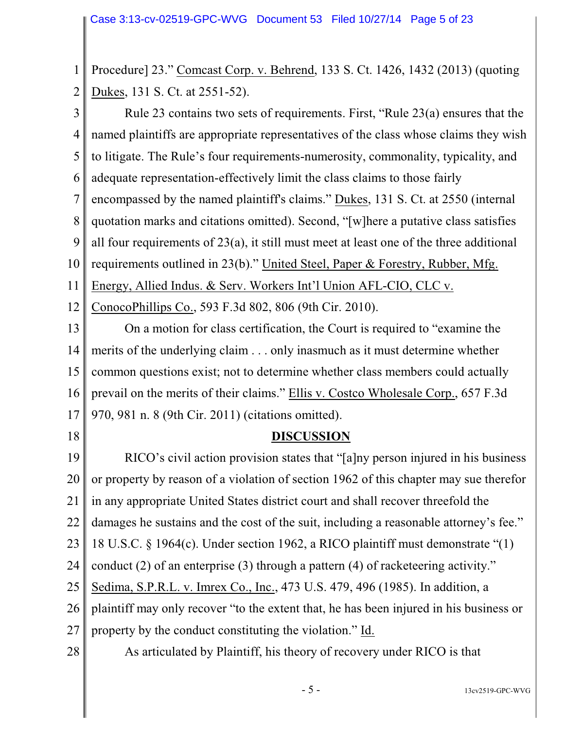1 2 Procedure] 23." Comcast Corp. v. Behrend, 133 S. Ct. 1426, 1432 (2013) (quoting Dukes, 131 S. Ct. at 2551-52).

3 4 5 6 7 8 9 10 11 12 Rule 23 contains two sets of requirements. First, "Rule 23(a) ensures that the named plaintiffs are appropriate representatives of the class whose claims they wish to litigate. The Rule's four requirements-numerosity, commonality, typicality, and adequate representation-effectively limit the class claims to those fairly encompassed by the named plaintiff's claims." Dukes, 131 S. Ct. at 2550 (internal quotation marks and citations omitted). Second, "[w]here a putative class satisfies all four requirements of 23(a), it still must meet at least one of the three additional requirements outlined in 23(b)." United Steel, Paper & Forestry, Rubber, Mfg. Energy, Allied Indus. & Serv. Workers Int'l Union AFL-CIO, CLC v. ConocoPhillips Co., 593 F.3d 802, 806 (9th Cir. 2010).

13 14 15 16 17 On a motion for class certification, the Court is required to "examine the merits of the underlying claim . . . only inasmuch as it must determine whether common questions exist; not to determine whether class members could actually prevail on the merits of their claims." Ellis v. Costco Wholesale Corp., 657 F.3d 970, 981 n. 8 (9th Cir. 2011) (citations omitted).

18

# **DISCUSSION**

19 20 21 22 23 24 25 26 27 28 RICO's civil action provision states that "[a]ny person injured in his business or property by reason of a violation of section 1962 of this chapter may sue therefor in any appropriate United States district court and shall recover threefold the damages he sustains and the cost of the suit, including a reasonable attorney's fee." 18 U.S.C. § 1964(c). Under section 1962, a RICO plaintiff must demonstrate "(1) conduct (2) of an enterprise (3) through a pattern (4) of racketeering activity." Sedima, S.P.R.L. v. Imrex Co., Inc., 473 U.S. 479, 496 (1985). In addition, a plaintiff may only recover "to the extent that, he has been injured in his business or property by the conduct constituting the violation." Id. As articulated by Plaintiff, his theory of recovery under RICO is that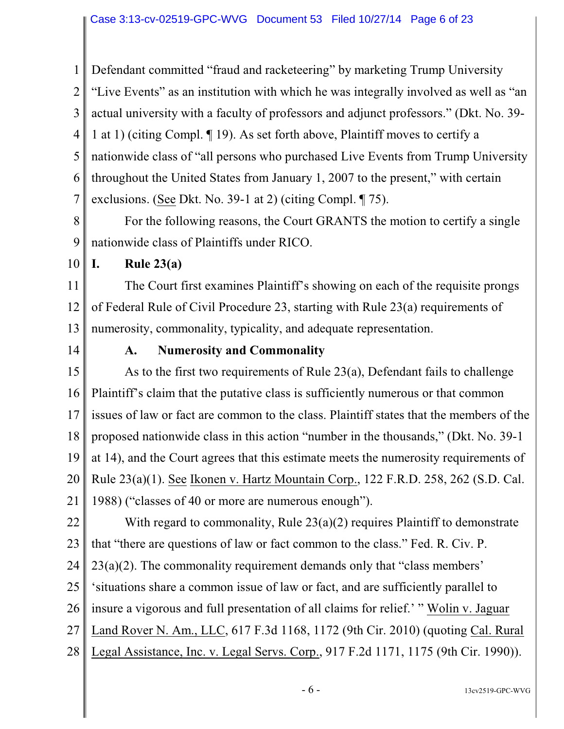1 2 3 4 5 6 7 Defendant committed "fraud and racketeering" by marketing Trump University "Live Events" as an institution with which he was integrally involved as well as "an actual university with a faculty of professors and adjunct professors." (Dkt. No. 39- 1 at 1) (citing Compl. ¶ 19). As set forth above, Plaintiff moves to certify a nationwide class of "all persons who purchased Live Events from Trump University throughout the United States from January 1, 2007 to the present," with certain exclusions. (See Dkt. No. 39-1 at 2) (citing Compl. ¶ 75).

8 9 For the following reasons, the Court GRANTS the motion to certify a single nationwide class of Plaintiffs under RICO.

10 **I. Rule 23(a)**

11 12 13 The Court first examines Plaintiff's showing on each of the requisite prongs of Federal Rule of Civil Procedure 23, starting with Rule 23(a) requirements of numerosity, commonality, typicality, and adequate representation.

14

### **A. Numerosity and Commonality**

15 16 17 18 19 20 21 As to the first two requirements of Rule 23(a), Defendant fails to challenge Plaintiff's claim that the putative class is sufficiently numerous or that common issues of law or fact are common to the class. Plaintiff states that the members of the proposed nationwide class in this action "number in the thousands," (Dkt. No. 39-1 at 14), and the Court agrees that this estimate meets the numerosity requirements of Rule 23(a)(1). See Ikonen v. Hartz Mountain Corp., 122 F.R.D. 258, 262 (S.D. Cal. 1988) ("classes of 40 or more are numerous enough").

22 23 24 25 26 27 28 With regard to commonality, Rule 23(a)(2) requires Plaintiff to demonstrate that "there are questions of law or fact common to the class." Fed. R. Civ. P. 23(a)(2). The commonality requirement demands only that "class members' 'situations share a common issue of law or fact, and are sufficiently parallel to insure a vigorous and full presentation of all claims for relief.' " Wolin v. Jaguar Land Rover N. Am., LLC, 617 F.3d 1168, 1172 (9th Cir. 2010) (quoting Cal. Rural Legal Assistance, Inc. v. Legal Servs. Corp., 917 F.2d 1171, 1175 (9th Cir. 1990)).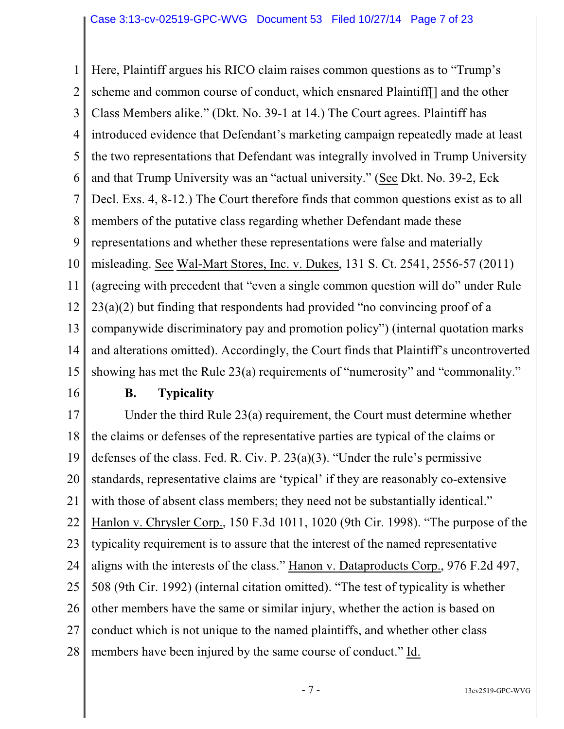1 2 3 4 5 6 7 8 9 10 11 12 13 14 15 Here, Plaintiff argues his RICO claim raises common questions as to "Trump's scheme and common course of conduct, which ensnared Plaintiff[] and the other Class Members alike." (Dkt. No. 39-1 at 14.) The Court agrees. Plaintiff has introduced evidence that Defendant's marketing campaign repeatedly made at least the two representations that Defendant was integrally involved in Trump University and that Trump University was an "actual university." (See Dkt. No. 39-2, Eck Decl. Exs. 4, 8-12.) The Court therefore finds that common questions exist as to all members of the putative class regarding whether Defendant made these representations and whether these representations were false and materially misleading. See Wal-Mart Stores, Inc. v. Dukes, 131 S. Ct. 2541, 2556-57 (2011) (agreeing with precedent that "even a single common question will do" under Rule 23(a)(2) but finding that respondents had provided "no convincing proof of a companywide discriminatory pay and promotion policy") (internal quotation marks and alterations omitted). Accordingly, the Court finds that Plaintiff's uncontroverted showing has met the Rule 23(a) requirements of "numerosity" and "commonality."

16

### **B. Typicality**

17 18 19 20 21 22 23 24 25 26 27 28 Under the third Rule 23(a) requirement, the Court must determine whether the claims or defenses of the representative parties are typical of the claims or defenses of the class. Fed. R. Civ. P. 23(a)(3). "Under the rule's permissive standards, representative claims are 'typical' if they are reasonably co-extensive with those of absent class members; they need not be substantially identical." Hanlon v. Chrysler Corp., 150 F.3d 1011, 1020 (9th Cir. 1998). "The purpose of the typicality requirement is to assure that the interest of the named representative aligns with the interests of the class." Hanon v. Dataproducts Corp., 976 F.2d 497, 508 (9th Cir. 1992) (internal citation omitted). "The test of typicality is whether other members have the same or similar injury, whether the action is based on conduct which is not unique to the named plaintiffs, and whether other class members have been injured by the same course of conduct." Id.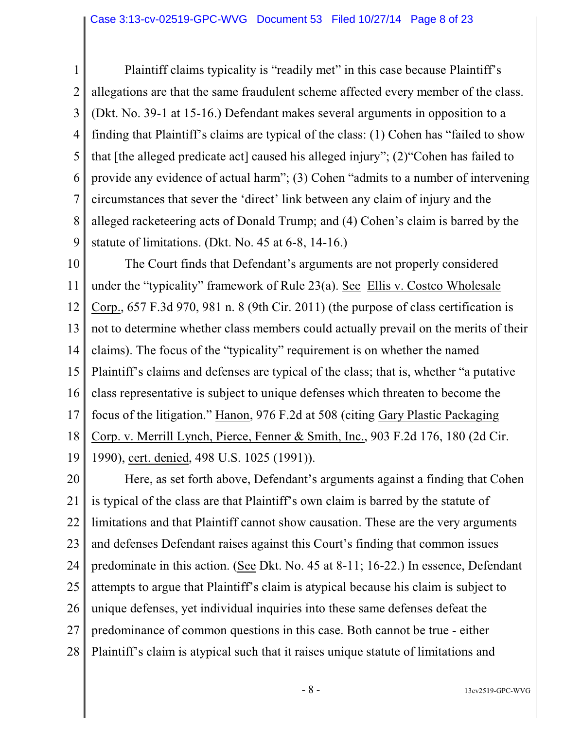1 2 3 4 5 6 7 8 9 Plaintiff claims typicality is "readily met" in this case because Plaintiff's allegations are that the same fraudulent scheme affected every member of the class. (Dkt. No. 39-1 at 15-16.) Defendant makes several arguments in opposition to a finding that Plaintiff's claims are typical of the class: (1) Cohen has "failed to show that [the alleged predicate act] caused his alleged injury"; (2)"Cohen has failed to provide any evidence of actual harm"; (3) Cohen "admits to a number of intervening circumstances that sever the 'direct' link between any claim of injury and the alleged racketeering acts of Donald Trump; and (4) Cohen's claim is barred by the statute of limitations. (Dkt. No. 45 at 6-8, 14-16.)

10 11 12 13 14 15 16 17 18 19 The Court finds that Defendant's arguments are not properly considered under the "typicality" framework of Rule 23(a). See Ellis v. Costco Wholesale Corp., 657 F.3d 970, 981 n. 8 (9th Cir. 2011) (the purpose of class certification is not to determine whether class members could actually prevail on the merits of their claims). The focus of the "typicality" requirement is on whether the named Plaintiff's claims and defenses are typical of the class; that is, whether "a putative class representative is subject to unique defenses which threaten to become the focus of the litigation." Hanon, 976 F.2d at 508 (citing Gary Plastic Packaging Corp. v. Merrill Lynch, Pierce, Fenner & Smith, Inc., 903 F.2d 176, 180 (2d Cir. 1990), cert. denied, 498 U.S. 1025 (1991)).

20 21 22 23 24 25 26 27 28 Here, as set forth above, Defendant's arguments against a finding that Cohen is typical of the class are that Plaintiff's own claim is barred by the statute of limitations and that Plaintiff cannot show causation. These are the very arguments and defenses Defendant raises against this Court's finding that common issues predominate in this action. (See Dkt. No. 45 at 8-11; 16-22.) In essence, Defendant attempts to argue that Plaintiff's claim is atypical because his claim is subject to unique defenses, yet individual inquiries into these same defenses defeat the predominance of common questions in this case. Both cannot be true - either Plaintiff's claim is atypical such that it raises unique statute of limitations and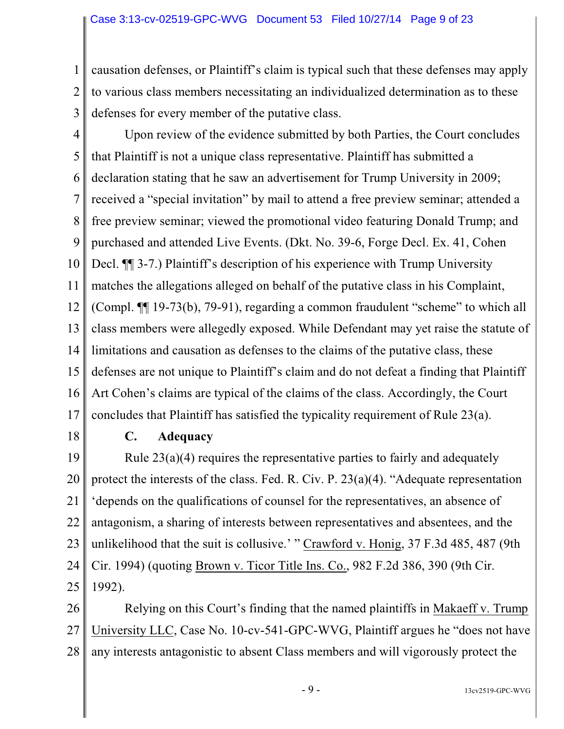1 2 causation defenses, or Plaintiff's claim is typical such that these defenses may apply to various class members necessitating an individualized determination as to these defenses for every member of the putative class.

3

4 5 6 7 8 9 10 11 12 13 14 15 16 17 Upon review of the evidence submitted by both Parties, the Court concludes that Plaintiff is not a unique class representative. Plaintiff has submitted a declaration stating that he saw an advertisement for Trump University in 2009; received a "special invitation" by mail to attend a free preview seminar; attended a free preview seminar; viewed the promotional video featuring Donald Trump; and purchased and attended Live Events. (Dkt. No. 39-6, Forge Decl. Ex. 41, Cohen Decl. ¶¶ 3-7.) Plaintiff's description of his experience with Trump University matches the allegations alleged on behalf of the putative class in his Complaint, (Compl. ¶¶ 19-73(b), 79-91), regarding a common fraudulent "scheme" to which all class members were allegedly exposed. While Defendant may yet raise the statute of limitations and causation as defenses to the claims of the putative class, these defenses are not unique to Plaintiff's claim and do not defeat a finding that Plaintiff Art Cohen's claims are typical of the claims of the class. Accordingly, the Court concludes that Plaintiff has satisfied the typicality requirement of Rule 23(a).

18

# **C. Adequacy**

19 20 21 22 23 24 25 Rule 23(a)(4) requires the representative parties to fairly and adequately protect the interests of the class. Fed. R. Civ. P. 23(a)(4). "Adequate representation 'depends on the qualifications of counsel for the representatives, an absence of antagonism, a sharing of interests between representatives and absentees, and the unlikelihood that the suit is collusive.' " Crawford v. Honig, 37 F.3d 485, 487 (9th Cir. 1994) (quoting Brown v. Ticor Title Ins. Co., 982 F.2d 386, 390 (9th Cir. 1992).

26 27 28 Relying on this Court's finding that the named plaintiffs in Makaeff v. Trump University LLC, Case No. 10-cv-541-GPC-WVG, Plaintiff argues he "does not have any interests antagonistic to absent Class members and will vigorously protect the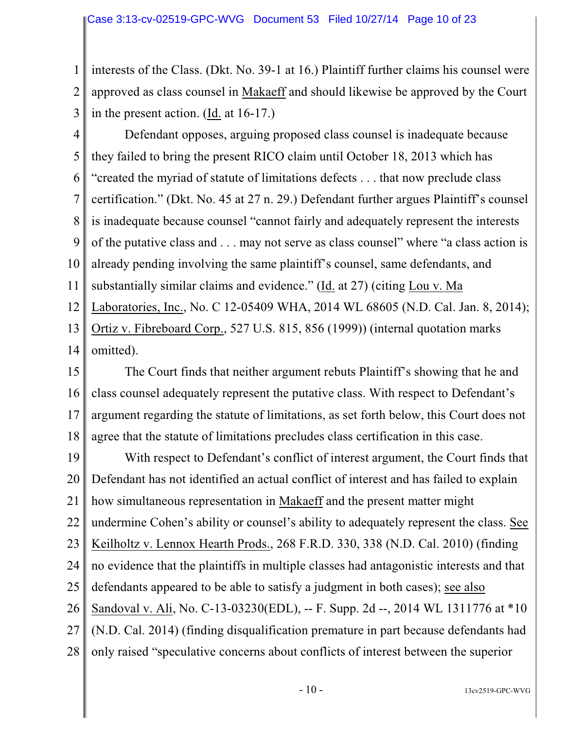1 2 3 interests of the Class. (Dkt. No. 39-1 at 16.) Plaintiff further claims his counsel were approved as class counsel in Makaeff and should likewise be approved by the Court in the present action. (Id. at 16-17.)

4 5 6 7 8 9 10 11 12 13 14 Defendant opposes, arguing proposed class counsel is inadequate because they failed to bring the present RICO claim until October 18, 2013 which has "created the myriad of statute of limitations defects . . . that now preclude class certification." (Dkt. No. 45 at 27 n. 29.) Defendant further argues Plaintiff's counsel is inadequate because counsel "cannot fairly and adequately represent the interests of the putative class and . . . may not serve as class counsel" where "a class action is already pending involving the same plaintiff's counsel, same defendants, and substantially similar claims and evidence." (Id. at 27) (citing Lou v. Ma Laboratories, Inc., No. C 12-05409 WHA, 2014 WL 68605 (N.D. Cal. Jan. 8, 2014); Ortiz v. Fibreboard Corp., 527 U.S. 815, 856 (1999)) (internal quotation marks omitted).

15 16 17 18 The Court finds that neither argument rebuts Plaintiff's showing that he and class counsel adequately represent the putative class. With respect to Defendant's argument regarding the statute of limitations, as set forth below, this Court does not agree that the statute of limitations precludes class certification in this case.

19 20 21 22 23 24 25 26 27 28 With respect to Defendant's conflict of interest argument, the Court finds that Defendant has not identified an actual conflict of interest and has failed to explain how simultaneous representation in Makaeff and the present matter might undermine Cohen's ability or counsel's ability to adequately represent the class. See Keilholtz v. Lennox Hearth Prods., 268 F.R.D. 330, 338 (N.D. Cal. 2010) (finding no evidence that the plaintiffs in multiple classes had antagonistic interests and that defendants appeared to be able to satisfy a judgment in both cases); see also Sandoval v. Ali, No. C-13-03230(EDL), -- F. Supp. 2d --, 2014 WL 1311776 at \*10 (N.D. Cal. 2014) (finding disqualification premature in part because defendants had only raised "speculative concerns about conflicts of interest between the superior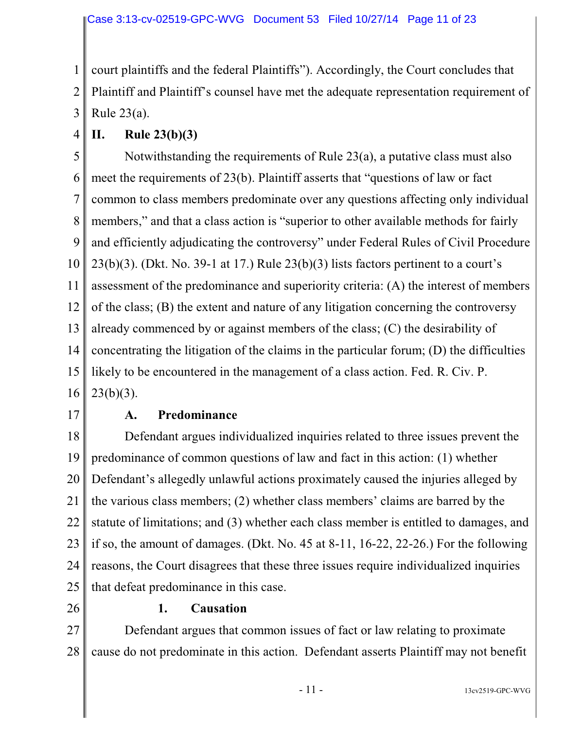1 2 3 court plaintiffs and the federal Plaintiffs"). Accordingly, the Court concludes that Plaintiff and Plaintiff's counsel have met the adequate representation requirement of Rule 23(a).

4

# **II. Rule 23(b)(3)**

5 6 7 8 9 10 11 12 13 14 15 16 Notwithstanding the requirements of Rule 23(a), a putative class must also meet the requirements of 23(b). Plaintiff asserts that "questions of law or fact common to class members predominate over any questions affecting only individual members," and that a class action is "superior to other available methods for fairly and efficiently adjudicating the controversy" under Federal Rules of Civil Procedure  $23(b)(3)$ . (Dkt. No. 39-1 at 17.) Rule  $23(b)(3)$  lists factors pertinent to a court's assessment of the predominance and superiority criteria: (A) the interest of members of the class; (B) the extent and nature of any litigation concerning the controversy already commenced by or against members of the class; (C) the desirability of concentrating the litigation of the claims in the particular forum; (D) the difficulties likely to be encountered in the management of a class action. Fed. R. Civ. P.  $23(b)(3)$ .

17

# **A. Predominance**

18 19 20 21 22 23 24 25 Defendant argues individualized inquiries related to three issues prevent the predominance of common questions of law and fact in this action: (1) whether Defendant's allegedly unlawful actions proximately caused the injuries alleged by the various class members; (2) whether class members' claims are barred by the statute of limitations; and (3) whether each class member is entitled to damages, and if so, the amount of damages. (Dkt. No. 45 at 8-11, 16-22, 22-26.) For the following reasons, the Court disagrees that these three issues require individualized inquiries that defeat predominance in this case.

26

#### **1. Causation**

27 28 Defendant argues that common issues of fact or law relating to proximate cause do not predominate in this action. Defendant asserts Plaintiff may not benefit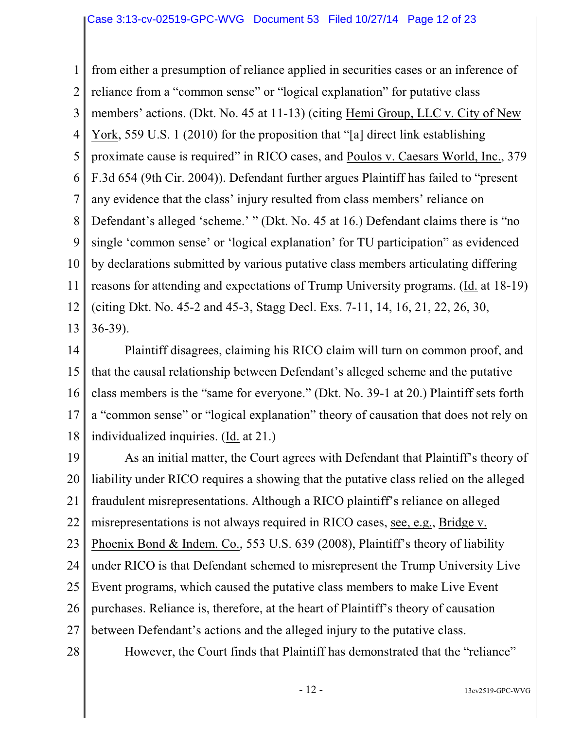1 2 3 4 5 6 7 8 9 10 11 12 13 from either a presumption of reliance applied in securities cases or an inference of reliance from a "common sense" or "logical explanation" for putative class members' actions. (Dkt. No. 45 at 11-13) (citing Hemi Group, LLC v. City of New York, 559 U.S. 1 (2010) for the proposition that "[a] direct link establishing proximate cause is required" in RICO cases, and Poulos v. Caesars World, Inc., 379 F.3d 654 (9th Cir. 2004)). Defendant further argues Plaintiff has failed to "present any evidence that the class' injury resulted from class members' reliance on Defendant's alleged 'scheme.' " (Dkt. No. 45 at 16.) Defendant claims there is "no single 'common sense' or 'logical explanation' for TU participation" as evidenced by declarations submitted by various putative class members articulating differing reasons for attending and expectations of Trump University programs. (Id. at 18-19) (citing Dkt. No. 45-2 and 45-3, Stagg Decl. Exs. 7-11, 14, 16, 21, 22, 26, 30, 36-39).

14 15 16 17 18 Plaintiff disagrees, claiming his RICO claim will turn on common proof, and that the causal relationship between Defendant's alleged scheme and the putative class members is the "same for everyone." (Dkt. No. 39-1 at 20.) Plaintiff sets forth a "common sense" or "logical explanation" theory of causation that does not rely on individualized inquiries. (Id. at 21.)

19 20 21 22 23 24 25 26 27 28 As an initial matter, the Court agrees with Defendant that Plaintiff's theory of liability under RICO requires a showing that the putative class relied on the alleged fraudulent misrepresentations. Although a RICO plaintiff's reliance on alleged misrepresentations is not always required in RICO cases, see, e.g., Bridge v. Phoenix Bond & Indem. Co., 553 U.S. 639 (2008), Plaintiff's theory of liability under RICO is that Defendant schemed to misrepresent the Trump University Live Event programs, which caused the putative class members to make Live Event purchases. Reliance is, therefore, at the heart of Plaintiff's theory of causation between Defendant's actions and the alleged injury to the putative class. However, the Court finds that Plaintiff has demonstrated that the "reliance"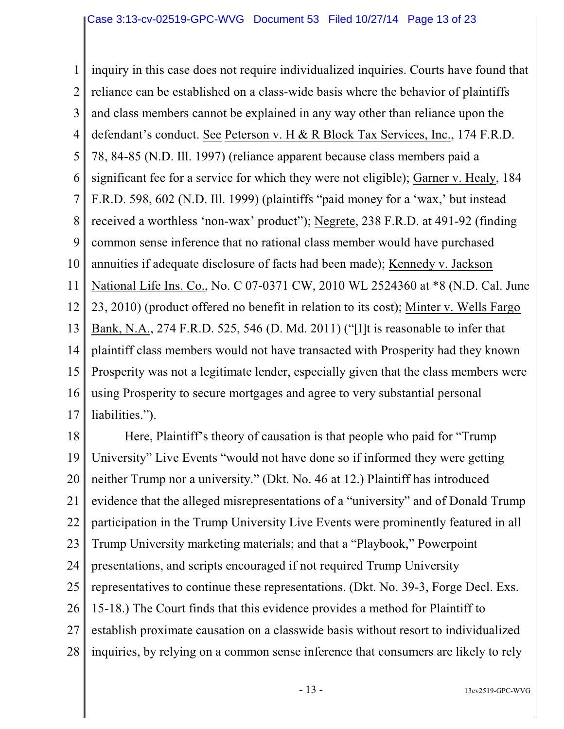1 2 3 4 5 6 7 8 9 10 11 12 13 14 15 16 17 inquiry in this case does not require individualized inquiries. Courts have found that reliance can be established on a class-wide basis where the behavior of plaintiffs and class members cannot be explained in any way other than reliance upon the defendant's conduct. See Peterson v. H & R Block Tax Services, Inc., 174 F.R.D. 78, 84-85 (N.D. Ill. 1997) (reliance apparent because class members paid a significant fee for a service for which they were not eligible); Garner v. Healy, 184 F.R.D. 598, 602 (N.D. Ill. 1999) (plaintiffs "paid money for a 'wax,' but instead received a worthless 'non-wax' product"); Negrete, 238 F.R.D. at 491-92 (finding common sense inference that no rational class member would have purchased annuities if adequate disclosure of facts had been made); Kennedy v. Jackson National Life Ins. Co., No. C 07-0371 CW, 2010 WL 2524360 at \*8 (N.D. Cal. June 23, 2010) (product offered no benefit in relation to its cost); Minter v. Wells Fargo Bank, N.A., 274 F.R.D. 525, 546 (D. Md. 2011) ("[I]t is reasonable to infer that plaintiff class members would not have transacted with Prosperity had they known Prosperity was not a legitimate lender, especially given that the class members were using Prosperity to secure mortgages and agree to very substantial personal liabilities.").

18 19 20 21 22 23 24 25 26 27 28 Here, Plaintiff's theory of causation is that people who paid for "Trump University" Live Events "would not have done so if informed they were getting neither Trump nor a university." (Dkt. No. 46 at 12.) Plaintiff has introduced evidence that the alleged misrepresentations of a "university" and of Donald Trump participation in the Trump University Live Events were prominently featured in all Trump University marketing materials; and that a "Playbook," Powerpoint presentations, and scripts encouraged if not required Trump University representatives to continue these representations. (Dkt. No. 39-3, Forge Decl. Exs. 15-18.) The Court finds that this evidence provides a method for Plaintiff to establish proximate causation on a classwide basis without resort to individualized inquiries, by relying on a common sense inference that consumers are likely to rely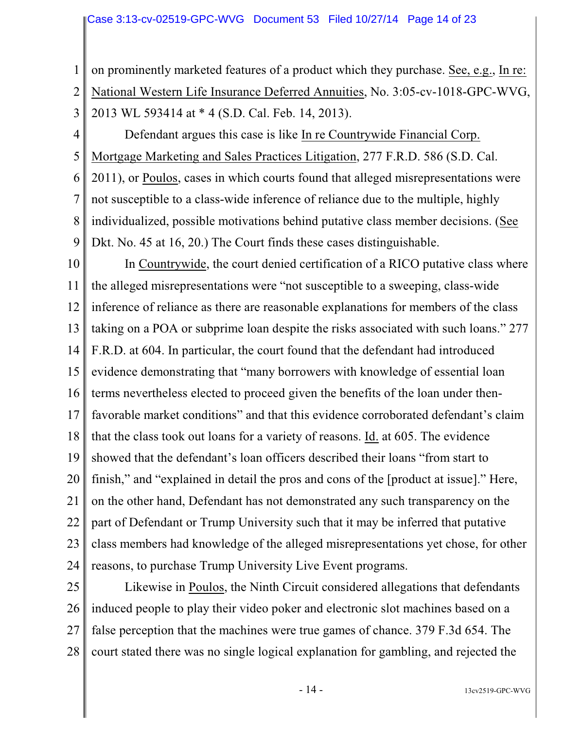1 2 3 on prominently marketed features of a product which they purchase. See, e.g., In re: National Western Life Insurance Deferred Annuities, No. 3:05-cv-1018-GPC-WVG, 2013 WL 593414 at \* 4 (S.D. Cal. Feb. 14, 2013).

4 5 6 7 8 9 Defendant argues this case is like In re Countrywide Financial Corp. Mortgage Marketing and Sales Practices Litigation, 277 F.R.D. 586 (S.D. Cal. 2011), or Poulos, cases in which courts found that alleged misrepresentations were not susceptible to a class-wide inference of reliance due to the multiple, highly individualized, possible motivations behind putative class member decisions. (See Dkt. No. 45 at 16, 20.) The Court finds these cases distinguishable.

10 11 12 13 14 15 16 17 18 19 20 21 22 23 24 In Countrywide, the court denied certification of a RICO putative class where the alleged misrepresentations were "not susceptible to a sweeping, class-wide inference of reliance as there are reasonable explanations for members of the class taking on a POA or subprime loan despite the risks associated with such loans." 277 F.R.D. at 604. In particular, the court found that the defendant had introduced evidence demonstrating that "many borrowers with knowledge of essential loan terms nevertheless elected to proceed given the benefits of the loan under thenfavorable market conditions" and that this evidence corroborated defendant's claim that the class took out loans for a variety of reasons. Id. at 605. The evidence showed that the defendant's loan officers described their loans "from start to finish," and "explained in detail the pros and cons of the [product at issue]." Here, on the other hand, Defendant has not demonstrated any such transparency on the part of Defendant or Trump University such that it may be inferred that putative class members had knowledge of the alleged misrepresentations yet chose, for other reasons, to purchase Trump University Live Event programs.

25 26 27 28 Likewise in Poulos, the Ninth Circuit considered allegations that defendants induced people to play their video poker and electronic slot machines based on a false perception that the machines were true games of chance. 379 F.3d 654. The court stated there was no single logical explanation for gambling, and rejected the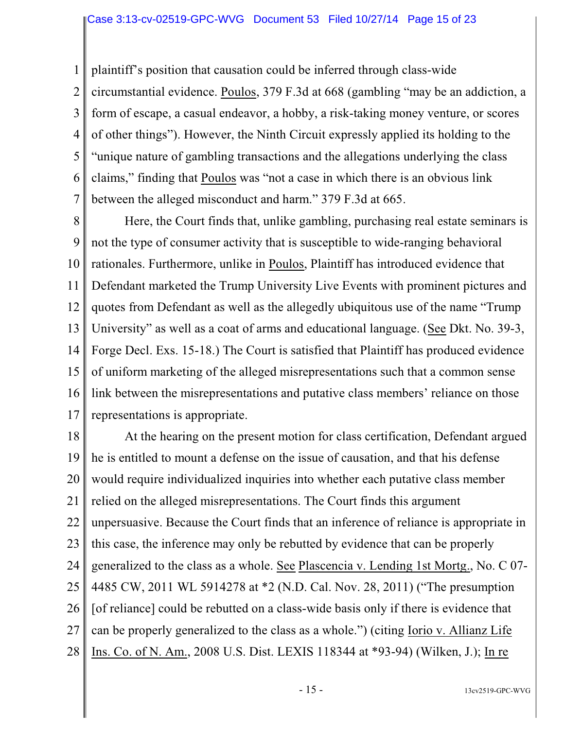1 2 3 4 5 6 7 plaintiff's position that causation could be inferred through class-wide circumstantial evidence. Poulos, 379 F.3d at 668 (gambling "may be an addiction, a form of escape, a casual endeavor, a hobby, a risk-taking money venture, or scores of other things"). However, the Ninth Circuit expressly applied its holding to the "unique nature of gambling transactions and the allegations underlying the class claims," finding that Poulos was "not a case in which there is an obvious link between the alleged misconduct and harm." 379 F.3d at 665.

8 9 10 11 12 13 14 15 16 17 Here, the Court finds that, unlike gambling, purchasing real estate seminars is not the type of consumer activity that is susceptible to wide-ranging behavioral rationales. Furthermore, unlike in Poulos, Plaintiff has introduced evidence that Defendant marketed the Trump University Live Events with prominent pictures and quotes from Defendant as well as the allegedly ubiquitous use of the name "Trump University" as well as a coat of arms and educational language. (See Dkt. No. 39-3, Forge Decl. Exs. 15-18.) The Court is satisfied that Plaintiff has produced evidence of uniform marketing of the alleged misrepresentations such that a common sense link between the misrepresentations and putative class members' reliance on those representations is appropriate.

18 19 20 21 22 23 24 25 26 27 28 At the hearing on the present motion for class certification, Defendant argued he is entitled to mount a defense on the issue of causation, and that his defense would require individualized inquiries into whether each putative class member relied on the alleged misrepresentations. The Court finds this argument unpersuasive. Because the Court finds that an inference of reliance is appropriate in this case, the inference may only be rebutted by evidence that can be properly generalized to the class as a whole. See Plascencia v. Lending 1st Mortg., No. C 07- 4485 CW, 2011 WL 5914278 at \*2 (N.D. Cal. Nov. 28, 2011) ("The presumption [of reliance] could be rebutted on a class-wide basis only if there is evidence that can be properly generalized to the class as a whole.") (citing Iorio v. Allianz Life Ins. Co. of N. Am., 2008 U.S. Dist. LEXIS 118344 at \*93-94) (Wilken, J.); In re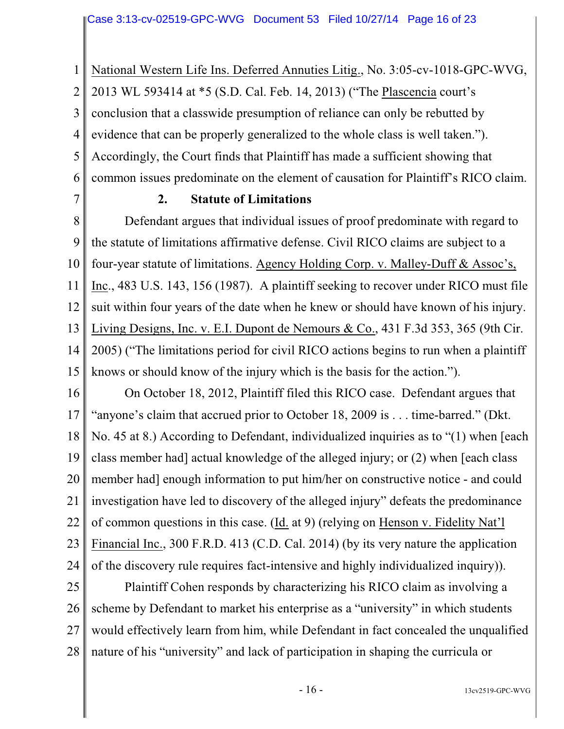1 2 3 4 5 6 National Western Life Ins. Deferred Annuties Litig., No. 3:05-cv-1018-GPC-WVG, 2013 WL 593414 at \*5 (S.D. Cal. Feb. 14, 2013) ("The Plascencia court's conclusion that a classwide presumption of reliance can only be rebutted by evidence that can be properly generalized to the whole class is well taken."). Accordingly, the Court finds that Plaintiff has made a sufficient showing that common issues predominate on the element of causation for Plaintiff's RICO claim.

7

# **2. Statute of Limitations**

8 9 10 11 12 13 14 15 Defendant argues that individual issues of proof predominate with regard to the statute of limitations affirmative defense. Civil RICO claims are subject to a four-year statute of limitations. Agency Holding Corp. v. Malley-Duff & Assoc's, Inc., 483 U.S. 143, 156 (1987). A plaintiff seeking to recover under RICO must file suit within four years of the date when he knew or should have known of his injury. Living Designs, Inc. v. E.I. Dupont de Nemours & Co., 431 F.3d 353, 365 (9th Cir. 2005) ("The limitations period for civil RICO actions begins to run when a plaintiff knows or should know of the injury which is the basis for the action.").

16 17 18 19 20 21 22 23 24 On October 18, 2012, Plaintiff filed this RICO case. Defendant argues that "anyone's claim that accrued prior to October 18, 2009 is . . . time-barred." (Dkt. No. 45 at 8.) According to Defendant, individualized inquiries as to "(1) when [each class member had] actual knowledge of the alleged injury; or (2) when [each class member had] enough information to put him/her on constructive notice - and could investigation have led to discovery of the alleged injury" defeats the predominance of common questions in this case. (Id. at 9) (relying on Henson v. Fidelity Nat'l Financial Inc., 300 F.R.D. 413 (C.D. Cal. 2014) (by its very nature the application of the discovery rule requires fact-intensive and highly individualized inquiry)).

25 26 27 28 Plaintiff Cohen responds by characterizing his RICO claim as involving a scheme by Defendant to market his enterprise as a "university" in which students would effectively learn from him, while Defendant in fact concealed the unqualified nature of his "university" and lack of participation in shaping the curricula or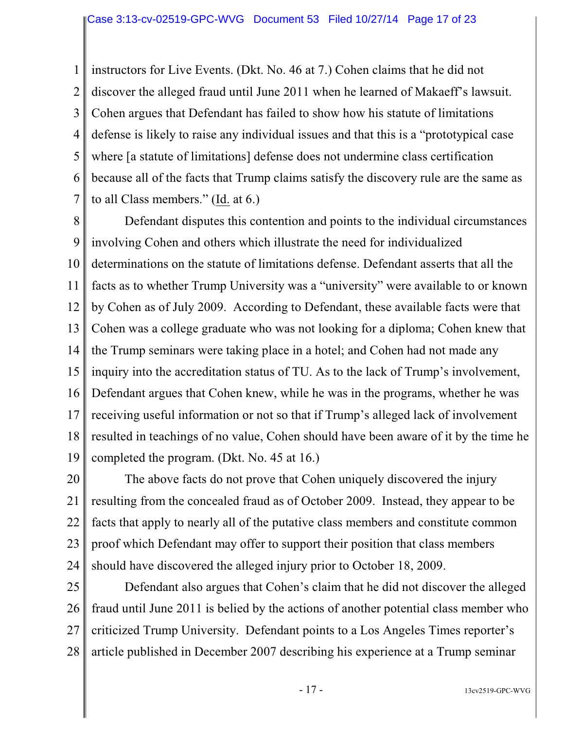1 2 3 4 5 6 7 instructors for Live Events. (Dkt. No. 46 at 7.) Cohen claims that he did not discover the alleged fraud until June 2011 when he learned of Makaeff's lawsuit. Cohen argues that Defendant has failed to show how his statute of limitations defense is likely to raise any individual issues and that this is a "prototypical case where [a statute of limitations] defense does not undermine class certification because all of the facts that Trump claims satisfy the discovery rule are the same as to all Class members." (Id. at 6.)

8 9 10 11 12 13 14 15 16 17 18 19 Defendant disputes this contention and points to the individual circumstances involving Cohen and others which illustrate the need for individualized determinations on the statute of limitations defense. Defendant asserts that all the facts as to whether Trump University was a "university" were available to or known by Cohen as of July 2009. According to Defendant, these available facts were that Cohen was a college graduate who was not looking for a diploma; Cohen knew that the Trump seminars were taking place in a hotel; and Cohen had not made any inquiry into the accreditation status of TU. As to the lack of Trump's involvement, Defendant argues that Cohen knew, while he was in the programs, whether he was receiving useful information or not so that if Trump's alleged lack of involvement resulted in teachings of no value, Cohen should have been aware of it by the time he completed the program. (Dkt. No. 45 at 16.)

20 21 22 23 24 The above facts do not prove that Cohen uniquely discovered the injury resulting from the concealed fraud as of October 2009. Instead, they appear to be facts that apply to nearly all of the putative class members and constitute common proof which Defendant may offer to support their position that class members should have discovered the alleged injury prior to October 18, 2009.

25 26 27 28 Defendant also argues that Cohen's claim that he did not discover the alleged fraud until June 2011 is belied by the actions of another potential class member who criticized Trump University. Defendant points to a Los Angeles Times reporter's article published in December 2007 describing his experience at a Trump seminar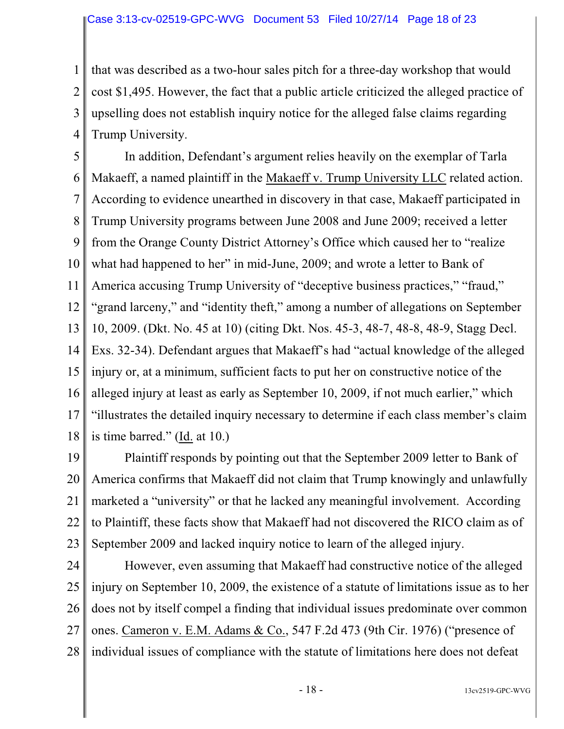1 2 3 4 that was described as a two-hour sales pitch for a three-day workshop that would cost \$1,495. However, the fact that a public article criticized the alleged practice of upselling does not establish inquiry notice for the alleged false claims regarding Trump University.

5 6 7 8 9 10 11 12 13 14 15 16 17 18 In addition, Defendant's argument relies heavily on the exemplar of Tarla Makaeff, a named plaintiff in the Makaeff v. Trump University LLC related action. According to evidence unearthed in discovery in that case, Makaeff participated in Trump University programs between June 2008 and June 2009; received a letter from the Orange County District Attorney's Office which caused her to "realize what had happened to her" in mid-June, 2009; and wrote a letter to Bank of America accusing Trump University of "deceptive business practices," "fraud," "grand larceny," and "identity theft," among a number of allegations on September 10, 2009. (Dkt. No. 45 at 10) (citing Dkt. Nos. 45-3, 48-7, 48-8, 48-9, Stagg Decl. Exs. 32-34). Defendant argues that Makaeff's had "actual knowledge of the alleged injury or, at a minimum, sufficient facts to put her on constructive notice of the alleged injury at least as early as September 10, 2009, if not much earlier," which "illustrates the detailed inquiry necessary to determine if each class member's claim is time barred." (Id. at 10.)

19 20 21 22 23 Plaintiff responds by pointing out that the September 2009 letter to Bank of America confirms that Makaeff did not claim that Trump knowingly and unlawfully marketed a "university" or that he lacked any meaningful involvement. According to Plaintiff, these facts show that Makaeff had not discovered the RICO claim as of September 2009 and lacked inquiry notice to learn of the alleged injury.

24 25 26 27 28 However, even assuming that Makaeff had constructive notice of the alleged injury on September 10, 2009, the existence of a statute of limitations issue as to her does not by itself compel a finding that individual issues predominate over common ones. Cameron v. E.M. Adams & Co., 547 F.2d 473 (9th Cir. 1976) ("presence of individual issues of compliance with the statute of limitations here does not defeat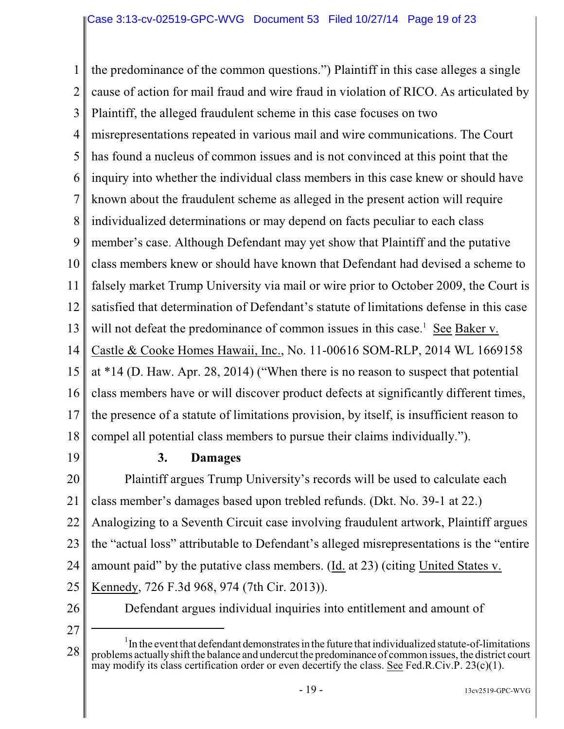1 2 3 4 5 6 7 8 9 10 11 12 13 14 15 16 17 18 the predominance of the common questions.") Plaintiff in this case alleges a single cause of action for mail fraud and wire fraud in violation of RICO. As articulated by Plaintiff, the alleged fraudulent scheme in this case focuses on two misrepresentations repeated in various mail and wire communications. The Court has found a nucleus of common issues and is not convinced at this point that the inquiry into whether the individual class members in this case knew or should have known about the fraudulent scheme as alleged in the present action will require individualized determinations or may depend on facts peculiar to each class member's case. Although Defendant may yet show that Plaintiff and the putative class members knew or should have known that Defendant had devised a scheme to falsely market Trump University via mail or wire prior to October 2009, the Court is satisfied that determination of Defendant's statute of limitations defense in this case will not defeat the predominance of common issues in this case.<sup>1</sup> See Baker v. Castle & Cooke Homes Hawaii, Inc., No. 11-00616 SOM-RLP, 2014 WL 1669158 at \*14 (D. Haw. Apr. 28, 2014) ("When there is no reason to suspect that potential class members have or will discover product defects at significantly different times, the presence of a statute of limitations provision, by itself, is insufficient reason to compel all potential class members to pursue their claims individually.").

19

#### **3. Damages**

20 21 22 23 24 25 Plaintiff argues Trump University's records will be used to calculate each class member's damages based upon trebled refunds. (Dkt. No. 39-1 at 22.) Analogizing to a Seventh Circuit case involving fraudulent artwork, Plaintiff argues the "actual loss" attributable to Defendant's alleged misrepresentations is the "entire amount paid" by the putative class members. (Id. at 23) (citing United States v. Kennedy, 726 F.3d 968, 974 (7th Cir. 2013)).

26

Defendant argues individual inquiries into entitlement and amount of

27

<sup>28</sup>  $\rm ^1$ In the event that defendant demonstrates in the future that individualized statute-of-limitations problems actuallyshift the balance and undercut the predominance of common issues, the district court may modify its class certification order or even decertify the class. See Fed.R.Civ.P. 23(c)(1).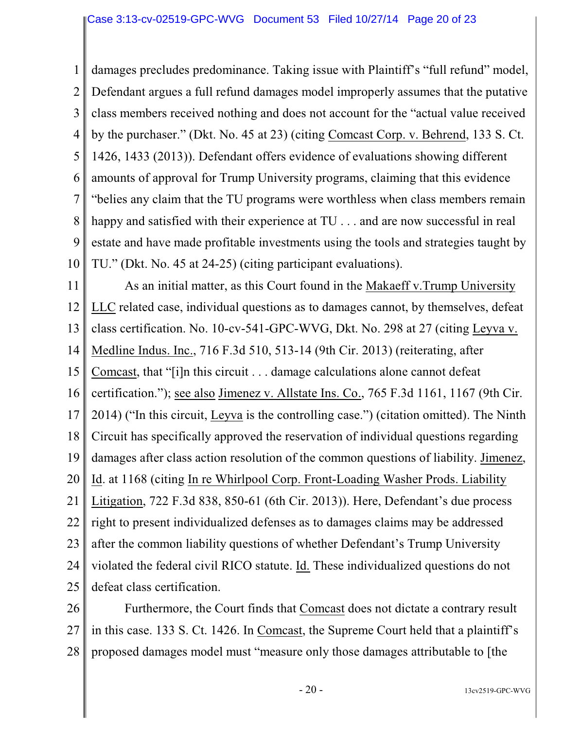1 2 3 4 5 6 7 8 9 10 damages precludes predominance. Taking issue with Plaintiff's "full refund" model, Defendant argues a full refund damages model improperly assumes that the putative class members received nothing and does not account for the "actual value received by the purchaser." (Dkt. No. 45 at 23) (citing Comcast Corp. v. Behrend, 133 S. Ct. 1426, 1433 (2013)). Defendant offers evidence of evaluations showing different amounts of approval for Trump University programs, claiming that this evidence "belies any claim that the TU programs were worthless when class members remain happy and satisfied with their experience at TU . . . and are now successful in real estate and have made profitable investments using the tools and strategies taught by TU." (Dkt. No. 45 at 24-25) (citing participant evaluations).

11 12 13 14 15 16 17 18 19 20 21 22 23 24 25 As an initial matter, as this Court found in the Makaeff v.Trump University LLC related case, individual questions as to damages cannot, by themselves, defeat class certification. No. 10-cv-541-GPC-WVG, Dkt. No. 298 at 27 (citing Leyva v. Medline Indus. Inc., 716 F.3d 510, 513-14 (9th Cir. 2013) (reiterating, after Comcast, that "[i]n this circuit . . . damage calculations alone cannot defeat certification."); see also Jimenez v. Allstate Ins. Co., 765 F.3d 1161, 1167 (9th Cir. 2014) ("In this circuit, Leyva is the controlling case.") (citation omitted). The Ninth Circuit has specifically approved the reservation of individual questions regarding damages after class action resolution of the common questions of liability. Jimenez, Id. at 1168 (citing In re Whirlpool Corp. Front-Loading Washer Prods. Liability Litigation, 722 F.3d 838, 850-61 (6th Cir. 2013)). Here, Defendant's due process right to present individualized defenses as to damages claims may be addressed after the common liability questions of whether Defendant's Trump University violated the federal civil RICO statute. Id. These individualized questions do not defeat class certification.

26 27 28 Furthermore, the Court finds that Comcast does not dictate a contrary result in this case. 133 S. Ct. 1426. In Comcast, the Supreme Court held that a plaintiff's proposed damages model must "measure only those damages attributable to [the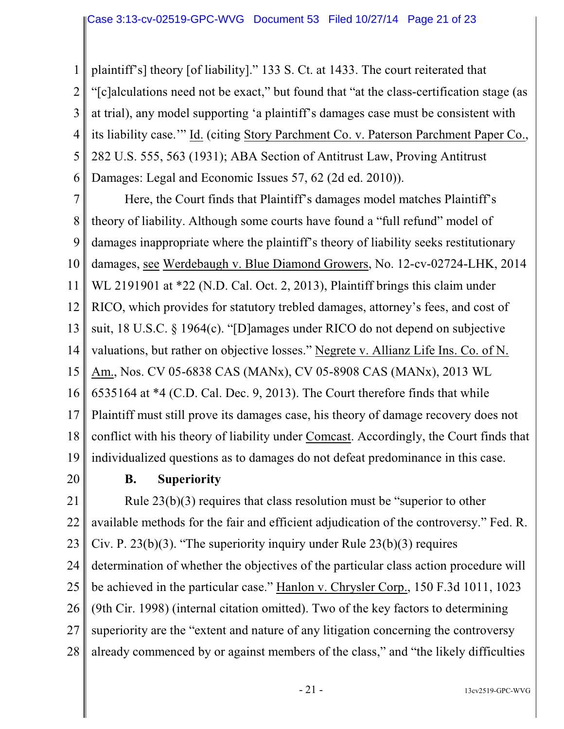1 2 3 4 5 6 plaintiff's] theory [of liability]." 133 S. Ct. at 1433. The court reiterated that "[c]alculations need not be exact," but found that "at the class-certification stage (as at trial), any model supporting 'a plaintiff's damages case must be consistent with its liability case.'" Id. (citing Story Parchment Co. v. Paterson Parchment Paper Co., 282 U.S. 555, 563 (1931); ABA Section of Antitrust Law, Proving Antitrust Damages: Legal and Economic Issues 57, 62 (2d ed. 2010)).

7 8 9 10 11 12 13 14 15 16 17 18 19 Here, the Court finds that Plaintiff's damages model matches Plaintiff's theory of liability. Although some courts have found a "full refund" model of damages inappropriate where the plaintiff's theory of liability seeks restitutionary damages, see Werdebaugh v. Blue Diamond Growers, No. 12-cv-02724-LHK, 2014 WL 2191901 at \*22 (N.D. Cal. Oct. 2, 2013), Plaintiff brings this claim under RICO, which provides for statutory trebled damages, attorney's fees, and cost of suit, 18 U.S.C. § 1964(c). "[D]amages under RICO do not depend on subjective valuations, but rather on objective losses." Negrete v. Allianz Life Ins. Co. of N. Am., Nos. CV 05-6838 CAS (MANx), CV 05-8908 CAS (MANx), 2013 WL 6535164 at \*4 (C.D. Cal. Dec. 9, 2013). The Court therefore finds that while Plaintiff must still prove its damages case, his theory of damage recovery does not conflict with his theory of liability under Comcast. Accordingly, the Court finds that individualized questions as to damages do not defeat predominance in this case.

20

# **B. Superiority**

21 22 23 24 25 26 27 28 Rule 23(b)(3) requires that class resolution must be "superior to other available methods for the fair and efficient adjudication of the controversy." Fed. R. Civ. P.  $23(b)(3)$ . "The superiority inquiry under Rule  $23(b)(3)$  requires determination of whether the objectives of the particular class action procedure will be achieved in the particular case." Hanlon v. Chrysler Corp., 150 F.3d 1011, 1023 (9th Cir. 1998) (internal citation omitted). Two of the key factors to determining superiority are the "extent and nature of any litigation concerning the controversy already commenced by or against members of the class," and "the likely difficulties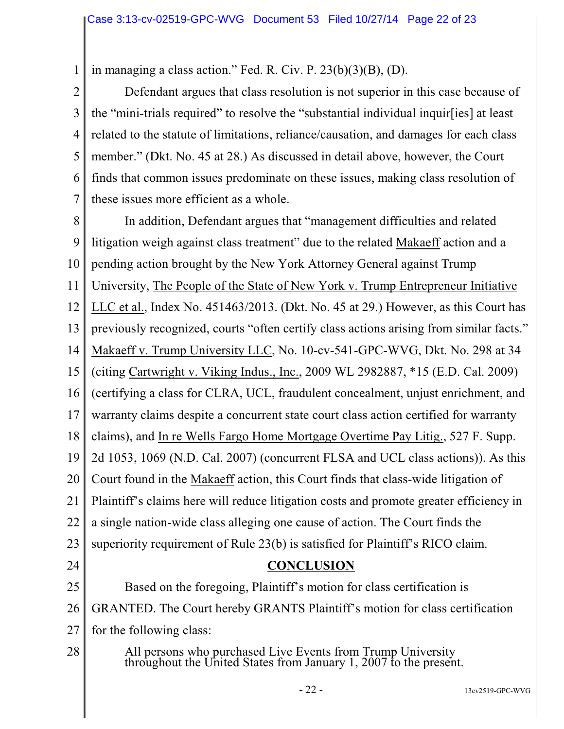1 in managing a class action." Fed. R. Civ. P. 23(b)(3)(B), (D).

2 3 4 5 6 7 Defendant argues that class resolution is not superior in this case because of the "mini-trials required" to resolve the "substantial individual inquir[ies] at least related to the statute of limitations, reliance/causation, and damages for each class member." (Dkt. No. 45 at 28.) As discussed in detail above, however, the Court finds that common issues predominate on these issues, making class resolution of these issues more efficient as a whole.

8 9 10 11 12 13 14 15 16 17 18 19 20 21 22 23 24 25 26 27 28 In addition, Defendant argues that "management difficulties and related litigation weigh against class treatment" due to the related Makaeff action and a pending action brought by the New York Attorney General against Trump University, The People of the State of New York v. Trump Entrepreneur Initiative LLC et al., Index No. 451463/2013. (Dkt. No. 45 at 29.) However, as this Court has previously recognized, courts "often certify class actions arising from similar facts." Makaeff v. Trump University LLC, No. 10-cv-541-GPC-WVG, Dkt. No. 298 at 34 (citing Cartwright v. Viking Indus., Inc., 2009 WL 2982887, \*15 (E.D. Cal. 2009) (certifying a class for CLRA, UCL, fraudulent concealment, unjust enrichment, and warranty claims despite a concurrent state court class action certified for warranty claims), and In re Wells Fargo Home Mortgage Overtime Pay Litig., 527 F. Supp. 2d 1053, 1069 (N.D. Cal. 2007) (concurrent FLSA and UCL class actions)). As this Court found in the Makaeff action, this Court finds that class-wide litigation of Plaintiff's claims here will reduce litigation costs and promote greater efficiency in a single nation-wide class alleging one cause of action. The Court finds the superiority requirement of Rule 23(b) is satisfied for Plaintiff's RICO claim. **CONCLUSION** Based on the foregoing, Plaintiff's motion for class certification is GRANTED. The Court hereby GRANTS Plaintiff's motion for class certification for the following class: All persons who purchased Live Events from Trump University throughout the United States from January 1, 2007 to the present.